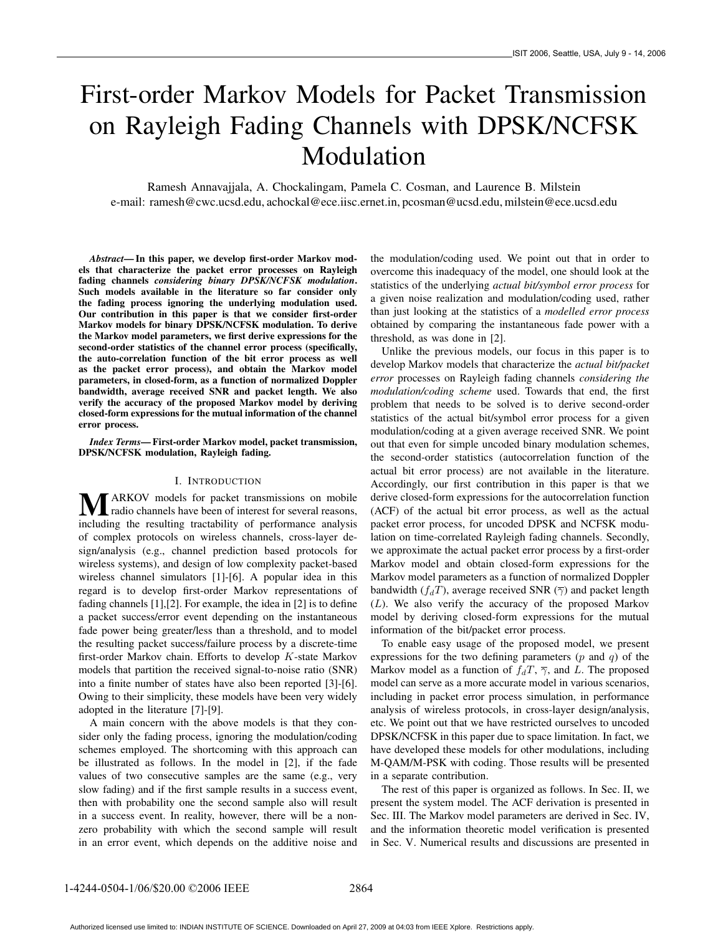# First-order Markov Models for Packet Transmission on Rayleigh Fading Channels with DPSK/NCFSK Modulation

Ramesh Annavajjala, A. Chockalingam, Pamela C. Cosman, and Laurence B. Milstein e-mail: ramesh@cwc.ucsd.edu, achockal@ece.iisc.ernet.in, pcosman@ucsd.edu, milstein@ece.ucsd.edu

*Abstract*— In this paper, we develop first-order Markov models that characterize the packet error processes on Rayleigh fading channels *considering binary DPSK/NCFSK modulation*. Such models available in the literature so far consider only the fading process ignoring the underlying modulation used. Our contribution in this paper is that we consider first-order Markov models for binary DPSK/NCFSK modulation. To derive the Markov model parameters, we first derive expressions for the second-order statistics of the channel error process (specifically, the auto-correlation function of the bit error process as well as the packet error process), and obtain the Markov model parameters, in closed-form, as a function of normalized Doppler bandwidth, average received SNR and packet length. We also verify the accuracy of the proposed Markov model by deriving closed-form expressions for the mutual information of the channel error process.

*Index Terms*— First-order Markov model, packet transmission, DPSK/NCFSK modulation, Rayleigh fading.

# I. INTRODUCTION

**MARKOV** models for packet transmissions on mobile<br>radio channels have been of interest for several reasons,<br>including the resulting tractobility of notempores englysis including the resulting tractability of performance analysis of complex protocols on wireless channels, cross-layer design/analysis (e.g., channel prediction based protocols for wireless systems), and design of low complexity packet-based wireless channel simulators [1]-[6]. A popular idea in this regard is to develop first-order Markov representations of fading channels [1],[2]. For example, the idea in [2] is to define a packet success/error event depending on the instantaneous fade power being greater/less than a threshold, and to model the resulting packet success/failure process by a discrete-time first-order Markov chain. Efforts to develop K-state Markov models that partition the received signal-to-noise ratio (SNR) into a finite number of states have also been reported [3]-[6]. Owing to their simplicity, these models have been very widely adopted in the literature [7]-[9].

A main concern with the above models is that they consider only the fading process, ignoring the modulation/coding schemes employed. The shortcoming with this approach can be illustrated as follows. In the model in [2], if the fade values of two consecutive samples are the same (e.g., very slow fading) and if the first sample results in a success event, then with probability one the second sample also will result in a success event. In reality, however, there will be a nonzero probability with which the second sample will result in an error event, which depends on the additive noise and the modulation/coding used. We point out that in order to overcome this inadequacy of the model, one should look at the statistics of the underlying *actual bit/symbol error process* for a given noise realization and modulation/coding used, rather than just looking at the statistics of a *modelled error process* obtained by comparing the instantaneous fade power with a threshold, as was done in [2].

Unlike the previous models, our focus in this paper is to develop Markov models that characterize the *actual bit/packet error* processes on Rayleigh fading channels *considering the modulation/coding scheme* used. Towards that end, the first problem that needs to be solved is to derive second-order statistics of the actual bit/symbol error process for a given modulation/coding at a given average received SNR. We point out that even for simple uncoded binary modulation schemes, the second-order statistics (autocorrelation function of the actual bit error process) are not available in the literature. Accordingly, our first contribution in this paper is that we derive closed-form expressions for the autocorrelation function (ACF) of the actual bit error process, as well as the actual packet error process, for uncoded DPSK and NCFSK modulation on time-correlated Rayleigh fading channels. Secondly, we approximate the actual packet error process by a first-order Markov model and obtain closed-form expressions for the Markov model parameters as a function of normalized Doppler bandwidth ( $f_dT$ ), average received SNR ( $\overline{\gamma}$ ) and packet length (L). We also verify the accuracy of the proposed Markov model by deriving closed-form expressions for the mutual information of the bit/packet error process.

To enable easy usage of the proposed model, we present expressions for the two defining parameters  $(p \text{ and } q)$  of the Markov model as a function of  $f_dT$ ,  $\overline{\gamma}$ , and L. The proposed model can serve as a more accurate model in various scenarios, including in packet error process simulation, in performance analysis of wireless protocols, in cross-layer design/analysis, etc. We point out that we have restricted ourselves to uncoded DPSK/NCFSK in this paper due to space limitation. In fact, we have developed these models for other modulations, including M-QAM/M-PSK with coding. Those results will be presented in a separate contribution.

The rest of this paper is organized as follows. In Sec. II, we present the system model. The ACF derivation is presented in Sec. III. The Markov model parameters are derived in Sec. IV, and the information theoretic model verification is presented in Sec. V. Numerical results and discussions are presented in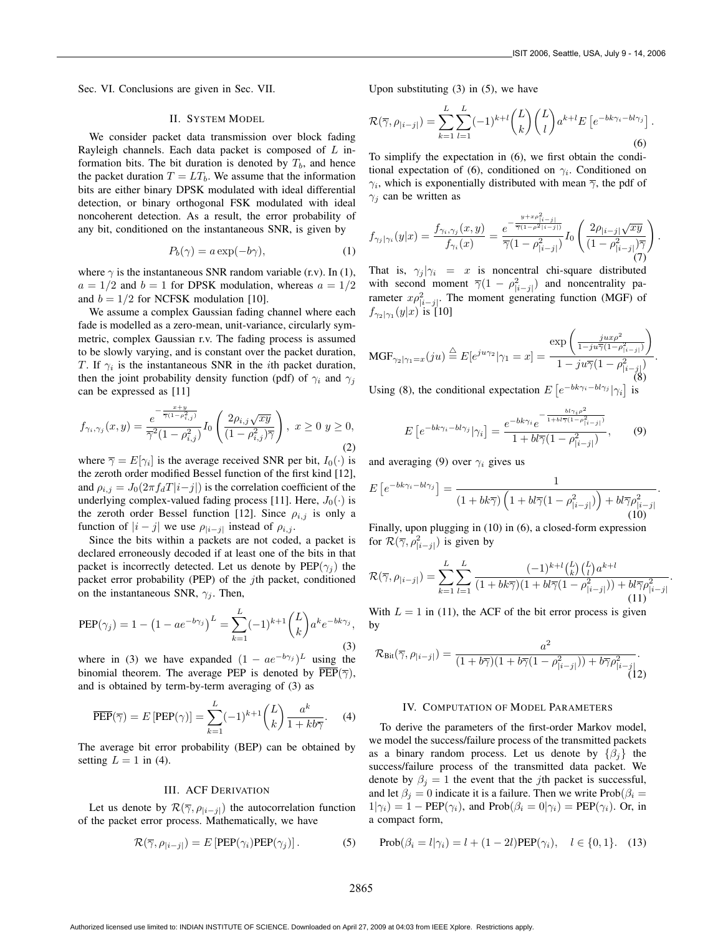.

Sec. VI. Conclusions are given in Sec. VII.

## II. SYSTEM MODEL

We consider packet data transmission over block fading Rayleigh channels. Each data packet is composed of  $L$  information bits. The bit duration is denoted by  $T_b$ , and hence the packet duration  $T = LT<sub>b</sub>$ . We assume that the information bits are either binary DPSK modulated with ideal differential detection, or binary orthogonal FSK modulated with ideal noncoherent detection. As a result, the error probability of any bit, conditioned on the instantaneous SNR, is given by

$$
P_b(\gamma) = a \exp(-b\gamma),\tag{1}
$$

where  $\gamma$  is the instantaneous SNR random variable (r.v). In (1),  $a = 1/2$  and  $b = 1$  for DPSK modulation, whereas  $a = 1/2$ and  $b = 1/2$  for NCFSK modulation [10].

We assume a complex Gaussian fading channel where each fade is modelled as a zero-mean, unit-variance, circularly symmetric, complex Gaussian r.v. The fading process is assumed to be slowly varying, and is constant over the packet duration, T. If  $\gamma_i$  is the instantaneous SNR in the *i*th packet duration, then the joint probability density function (pdf) of  $\gamma_i$  and  $\gamma_j$ can be expressed as [11]

$$
f_{\gamma_i,\gamma_j}(x,y) = \frac{e^{-\frac{x+y}{\overline{\gamma}(1-\rho_{i,j}^2)}}}{\overline{\gamma}^2(1-\rho_{i,j}^2)} I_0\left(\frac{2\rho_{i,j}\sqrt{xy}}{(1-\rho_{i,j}^2)\overline{\gamma}}\right), \ x \ge 0 \ y \ge 0,
$$
\n(2)

where  $\overline{\gamma} = E[\gamma_i]$  is the average received SNR per bit,  $I_0(\cdot)$  is the zeroth order modified Bessel function of the first kind [12], and  $\rho_{i,j} = J_0(2\pi f_d T|i-j|)$  is the correlation coefficient of the underlying complex-valued fading process [11]. Here,  $J_0(\cdot)$  is the zeroth order Bessel function [12]. Since  $\rho_{i,j}$  is only a function of  $|i - j|$  we use  $\rho_{i} = j$  instead of  $\rho_{i,j}$ .

Since the bits within a packets are not coded, a packet is declared erroneously decoded if at least one of the bits in that packet is incorrectly detected. Let us denote by  $PEP(\gamma_i)$  the packet error probability (PEP) of the jth packet, conditioned on the instantaneous SNR,  $\gamma_j$ . Then,

PEP(
$$
\gamma_j
$$
) = 1 - (1 - ae<sup>-b $\gamma_j$ )<sup>L</sup> =  $\sum_{k=1}^{L}$ (-1)<sup>k+1</sup> $\binom{L}{k}$ a<sup>k</sup>e<sup>-bk $\gamma_j$ ,  
(3)</sup></sup>

where in (3) we have expanded  $(1 - ae^{-b\gamma_j})^L$  using the binomial theorem. The average PEP is denoted by  $\overline{PEP(\overline{\gamma})}$ , and is obtained by term-by-term averaging of (3) as

$$
\overline{\text{PEP}}(\overline{\gamma}) = E\left[\text{PEP}(\gamma)\right] = \sum_{k=1}^{L} (-1)^{k+1} {L \choose k} \frac{a^k}{1 + kb\overline{\gamma}}.
$$
 (4)

The average bit error probability (BEP) can be obtained by setting  $L = 1$  in (4).

## III. ACF DERIVATION

Let us denote by  $\mathcal{R}(\overline{\gamma}, \rho_{|i-j|})$  the autocorrelation function of the packet error process. Mathematically, we have

$$
\mathcal{R}(\overline{\gamma}, \rho_{|i-j|}) = E\left[\text{PEP}(\gamma_i)\text{PEP}(\gamma_j)\right].\tag{5}
$$

Upon substituting  $(3)$  in  $(5)$ , we have

$$
\mathcal{R}(\overline{\gamma}, \rho_{|i-j|}) = \sum_{k=1}^{L} \sum_{l=1}^{L} (-1)^{k+l} \binom{L}{k} \binom{L}{l} a^{k+l} E\left[e^{-bk\gamma_i - bl\gamma_j}\right].
$$
\n(6)

To simplify the expectation in (6), we first obtain the conditional expectation of (6), conditioned on  $\gamma_i$ . Conditioned on  $\gamma_i$ , which is exponentially distributed with mean  $\overline{\gamma}$ , the pdf of  $\gamma_i$  can be written as

$$
f_{\gamma_j|\gamma_i}(y|x) = \frac{f_{\gamma_i,\gamma_j}(x,y)}{f_{\gamma_i}(x)} = \frac{e^{-\frac{y+x\rho_{[i-j]}^2}{\overline{\gamma}(1-\rho_{[i-j]}^2)}I_0\left(\frac{2\rho_{|i-j|}\sqrt{xy}}{(1-\rho_{|i-j|}^2)^{\overline{\gamma}}}\right)}{(1-\rho_{|i-j|}^2)^{\overline{\gamma}}}
$$

That is,  $\gamma_i |\gamma_i = x$  is noncentral chi-square distributed with second moment  $\overline{\gamma}(1 - \rho_{[i-j]}^2)$  and noncentrality parameter  $\pi r^2$  The moment conception function (MGE) of rameter  $x \rho_{|i-j|}^2$ . The moment generating function (MGF) of  $f_{\gamma_2|\gamma_1}(y|x)$  is [10]

$$
\text{MGF}_{\gamma_2|\gamma_1=x}(ju) \stackrel{\triangle}{=} E[e^{ju\gamma_2}|\gamma_1=x] = \frac{\exp\left(\frac{juxp^2}{1-ju\overline{\gamma}(1-\rho_{|i-j|}^2)}\right)}{1-ju\overline{\gamma}(1-\rho_{|i-j|}^2)}.
$$
  
Using (8), the conditional expectation  $E\left[e^{-bk\gamma_i - bl\gamma_j}|\gamma_i\right]$  is

Using (8), the conditional expectation  $E\left[$  $e^{-bk\gamma_i-bl\gamma_j}|\gamma_i$ 1 is

$$
E\left[e^{-bk\gamma_i - bl\gamma_j}|\gamma_i\right] = \frac{e^{-bk\gamma_i}e^{-\frac{bl\gamma_i\rho^2}{1+bl\overline{\gamma}(1-\rho_{|i-j|}^2)}},\qquad(9)
$$

and averaging (9) over  $\gamma_i$  gives us

$$
E\left[e^{-bk\gamma_i - bl\gamma_j}\right] = \frac{1}{\left(1 + bk\overline{\gamma}\right)\left(1 + bl\overline{\gamma}\left(1 - \rho_{|i-j|}^2\right)\right) + bl\overline{\gamma}\rho_{|i-j|}^2}.
$$
\n(10)

Finally, upon plugging in (10) in (6), a closed-form expression for  $\mathcal{R}(\overline{\gamma}, \rho_{|i-j|}^2)$  is given by

$$
\mathcal{R}(\overline{\gamma}, \rho_{|i-j|}) = \sum_{k=1}^{L} \sum_{l=1}^{L} \frac{(-1)^{k+l} {L \choose k} {L \choose l} a^{k+l}}{(1 + bk\overline{\gamma})(1 + bl\overline{\gamma}(1 - \rho_{|i-j|}^2)) + bl\overline{\gamma}\rho_{|i-j|}^2}.
$$
\n(11)

With  $L = 1$  in (11), the ACF of the bit error process is given by

$$
\mathcal{R}_{\mathrm{Bit}}(\overline{\gamma}, \rho_{|i-j|}) = \frac{a^2}{(1+b\overline{\gamma})(1+b\overline{\gamma}(1-\rho_{|i-j|}^2)) + b\overline{\gamma}\rho_{|i-j|}^2}.
$$
\n(12)

## IV. COMPUTATION OF MODEL PARAMETERS

To derive the parameters of the first-order Markov model, we model the success/failure process of the transmitted packets as a binary random process. Let us denote by  $\{\beta_i\}$  the success/failure process of the transmitted data packet. We denote by  $\beta_i = 1$  the event that the *j*th packet is successful, and let  $\beta_i = 0$  indicate it is a failure. Then we write Prob $(\beta_i =$  $1|\gamma_i|=1 - \text{PEP}(\gamma_i)$ , and  $\text{Prob}(\beta_i = 0|\gamma_i) = \text{PEP}(\gamma_i)$ . Or, in a compact form,

$$
Prob(\beta_i = l | \gamma_i) = l + (1 - 2l)PEP(\gamma_i), \quad l \in \{0, 1\}. \quad (13)
$$

Authorized licensed use limited to: INDIAN INSTITUTE OF SCIENCE. Downloaded on April 27, 2009 at 04:03 from IEEE Xplore. Restrictions apply.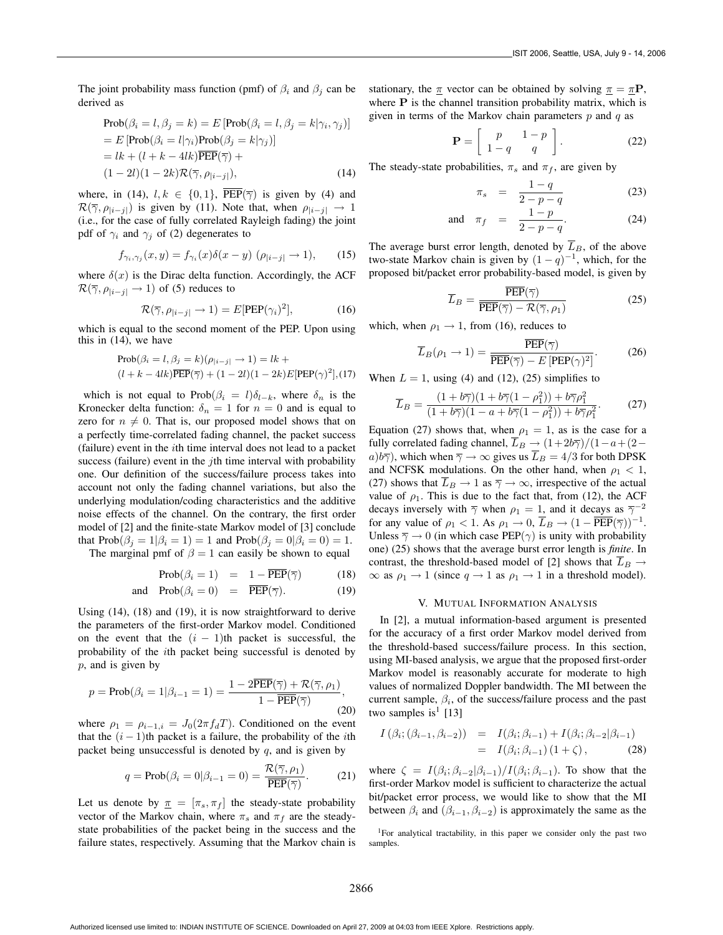The joint probability mass function (pmf) of  $\beta_i$  and  $\beta_j$  can be derived as

$$
Prob(\beta_i = l, \beta_j = k) = E [Prob(\beta_i = l, \beta_j = k | \gamma_i, \gamma_j)]
$$
  
= E [Prob(\beta\_i = l | \gamma\_i) Prob(\beta\_j = k | \gamma\_j)]  
= lk + (l + k - 4lk) \overline{PEP}(\overline{\gamma}) +  
(1 - 2l)(1 - 2k) \mathcal{R}(\overline{\gamma}, \rho\_{|i - j|}),(14)

where, in (14),  $l, k \in \{0, 1\}$ ,  $\overline{\text{PEP}}(\overline{\gamma})$  is given by (4) and  $\mathcal{R}(\overline{\gamma}, \rho_{|i-j|})$  is given by (11). Note that, when  $\rho_{|i-j|} \to 1$ (i.e., for the case of fully correlated Rayleigh fading) the joint pdf of  $\gamma_i$  and  $\gamma_j$  of (2) degenerates to

$$
f_{\gamma_i,\gamma_j}(x,y) = f_{\gamma_i}(x)\delta(x-y) \; (\rho_{|i-j|} \to 1), \qquad (15)
$$

where  $\delta(x)$  is the Dirac delta function. Accordingly, the ACF  $\mathcal{R}(\overline{\gamma}, \rho_{|i-j|} \to 1)$  of (5) reduces to

$$
\mathcal{R}(\overline{\gamma}, \rho_{|i-j|} \to 1) = E[\text{PEP}(\gamma_i)^2],\tag{16}
$$

which is equal to the second moment of the PEP. Upon using this in  $(14)$ , we have

$$
\text{Prob}(\beta_i = l, \beta_j = k)(\rho_{|i-j|} \to 1) = lk +
$$
  

$$
(l + k - 4lk)\overline{\text{PEP}}(\overline{\gamma}) + (1 - 2l)(1 - 2k)E[\text{PEP}(\gamma)^2], (17)
$$

which is not equal to Prob $(\beta_i = l)\delta_{l-k}$ , where  $\delta_n$  is the Kronecker delta function:  $\delta_n = 1$  for  $n = 0$  and is equal to zero for  $n \neq 0$ . That is, our proposed model shows that on a perfectly time-correlated fading channel, the packet success (failure) event in the ith time interval does not lead to a packet success (failure) event in the  $j$ th time interval with probability one. Our definition of the success/failure process takes into account not only the fading channel variations, but also the underlying modulation/coding characteristics and the additive noise effects of the channel. On the contrary, the first order model of [2] and the finite-state Markov model of [3] conclude that  $Prob(\beta_i = 1 | \beta_i = 1) = 1$  and  $Prob(\beta_i = 0 | \beta_i = 0) = 1$ . The marginal pmf of  $\beta = 1$  can easily be shown to equal

$$
\text{Prob}(\beta_i = 1) = 1 - \overline{\text{PEP}}(\overline{\gamma}) \tag{18}
$$

and 
$$
Prob(\beta_i = 0) = \overline{PEP}(\overline{\gamma}).
$$
 (19)

Using (14), (18) and (19), it is now straightforward to derive the parameters of the first-order Markov model. Conditioned on the event that the  $(i - 1)$ th packet is successful, the probability of the ith packet being successful is denoted by  $p$ , and is given by

$$
p = \text{Prob}(\beta_i = 1 | \beta_{i-1} = 1) = \frac{1 - 2\overline{\text{PEP}}(\overline{\gamma}) + \mathcal{R}(\overline{\gamma}, \rho_1)}{1 - \overline{\text{PEP}}(\overline{\gamma})},
$$
(20)

where  $\rho_1 = \rho_{i-1,i} = J_0(2\pi f_dT)$ . Conditioned on the event that the  $(i - 1)$ th packet is a failure, the probability of the *i*th packet being unsuccessful is denoted by  $q$ , and is given by

$$
q = \text{Prob}(\beta_i = 0 | \beta_{i-1} = 0) = \frac{\mathcal{R}(\overline{\gamma}, \rho_1)}{\overline{\text{PEP}}(\overline{\gamma})}.
$$
 (21)

Let us denote by  $\pi = [\pi_s, \pi_f]$  the steady-state probability vector of the Markov chain, where  $\pi_s$  and  $\pi_f$  are the steadystate probabilities of the packet being in the success and the failure states, respectively. Assuming that the Markov chain is stationary, the  $\pi$  vector can be obtained by solving  $\pi = \pi \mathbf{P}$ , where **P** is the channel transition probability matrix, which is given in terms of the Markov chain parameters  $p$  and  $q$  as

$$
\mathbf{P} = \left[ \begin{array}{cc} p & 1-p \\ 1-q & q \end{array} \right].\tag{22}
$$

The steady-state probabilities,  $\pi_s$  and  $\pi_f$ , are given by

$$
\pi_s = \frac{1-q}{2-p-q}
$$
 (23)

and 
$$
\pi_f = \frac{1-p}{2-p-q}
$$
. (24)

The average burst error length, denoted by  $\overline{L}_B$ , of the above two-state Markov chain is given by  $(1 - q)^{-1}$ , which, for the proposed bit/packet error probability-based model, is given by

$$
\overline{L}_B = \frac{\text{PEP}(\overline{\gamma})}{\overline{\text{PEP}}(\overline{\gamma}) - \mathcal{R}(\overline{\gamma}, \rho_1)}
$$
(25)

which, when  $\rho_1 \rightarrow 1$ , from (16), reduces to

$$
\overline{L}_B(\rho_1 \to 1) = \frac{\overline{\text{PEP}}(\overline{\gamma})}{\overline{\text{PEP}}(\overline{\gamma}) - E[\text{PEP}(\gamma)^2]}.
$$
 (26)

When  $L = 1$ , using (4) and (12), (25) simplifies to

$$
\overline{L}_B = \frac{(1 + b\overline{\gamma})(1 + b\overline{\gamma}(1 - \rho_1^2)) + b\overline{\gamma}\rho_1^2}{(1 + b\overline{\gamma})(1 - a + b\overline{\gamma}(1 - \rho_1^2)) + b\overline{\gamma}\rho_1^2}.
$$
 (27)

Equation (27) shows that, when  $\rho_1 = 1$ , as is the case for a fully correlated fading channel,  $\overline{L}_B \rightarrow (1+2b\overline{\gamma})/(1-a+(2-b)\overline{\gamma})$  $a)b\overline{\gamma}$ ), which when  $\overline{\gamma} \to \infty$  gives us  $\overline{L}_B = 4/3$  for both DPSK and NCFSK modulations. On the other hand, when  $\rho_1 < 1$ , (27) shows that  $\overline{L}_B \to 1$  as  $\overline{\gamma} \to \infty$ , irrespective of the actual value of  $\rho_1$ . This is due to the fact that, from (12), the ACF decays inversely with  $\overline{\gamma}$  when  $\rho_1 = 1$ , and it decays as  $\overline{\gamma}^{-2}$ for any value of  $\rho_1 < 1$ . As  $\rho_1 \rightarrow 0$ ,  $\overline{L}_B \rightarrow (1 - \overline{PEP}(\overline{\gamma}))^{-1}$ . Unless  $\overline{\gamma} \to 0$  (in which case PEP( $\gamma$ ) is unity with probability one) (25) shows that the average burst error length is *finite*. In contrast, the threshold-based model of [2] shows that  $L_B \rightarrow$  $\infty$  as  $\rho_1 \rightarrow 1$  (since  $q \rightarrow 1$  as  $\rho_1 \rightarrow 1$  in a threshold model).

## V. MUTUAL INFORMATION ANALYSIS

In [2], a mutual information-based argument is presented for the accuracy of a first order Markov model derived from the threshold-based success/failure process. In this section, using MI-based analysis, we argue that the proposed first-order Markov model is reasonably accurate for moderate to high values of normalized Doppler bandwidth. The MI between the current sample,  $\beta_i$ , of the success/failure process and the past two samples is<sup>1</sup> [13]

$$
I(\beta_i; (\beta_{i-1}, \beta_{i-2})) = I(\beta_i; \beta_{i-1}) + I(\beta_i; \beta_{i-2} | \beta_{i-1})
$$
  
=  $I(\beta_i; \beta_{i-1}) (1 + \zeta),$  (28)

where  $\zeta = I(\beta_i; \beta_{i-2}|\beta_{i-1})/I(\beta_i; \beta_{i-1})$ . To show that the first-order Markov model is sufficient to characterize the actual bit/packet error process, we would like to show that the MI between  $\beta_i$  and  $(\beta_{i-1}, \beta_{i-2})$  is approximately the same as the

1For analytical tractability, in this paper we consider only the past two samples.

Authorized licensed use limited to: INDIAN INSTITUTE OF SCIENCE. Downloaded on April 27, 2009 at 04:03 from IEEE Xplore. Restrictions apply.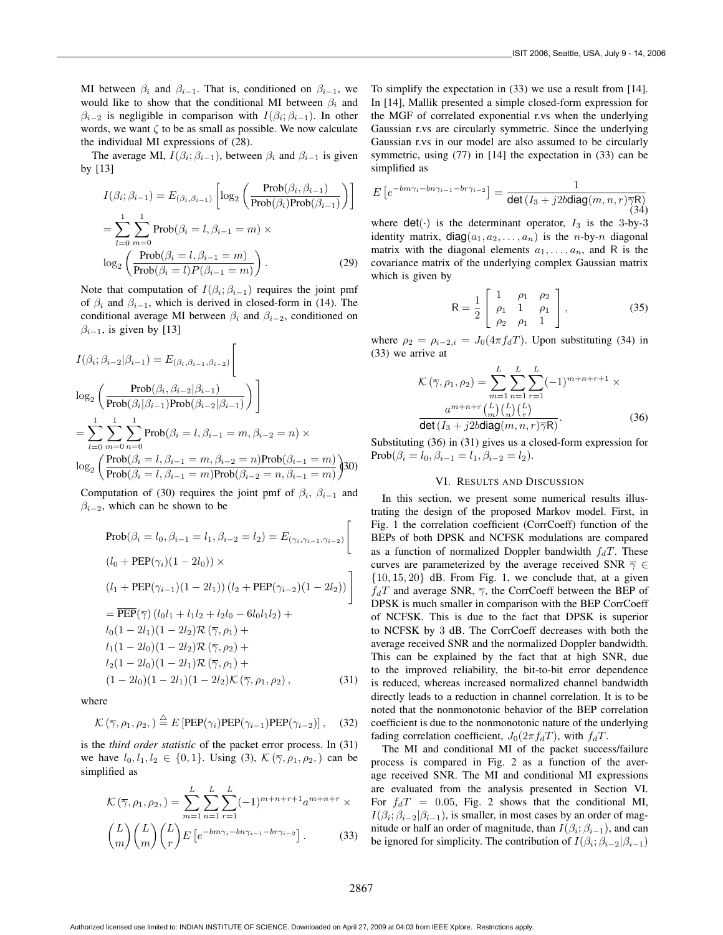MI between  $\beta_i$  and  $\beta_{i-1}$ . That is, conditioned on  $\beta_{i-1}$ , we would like to show that the conditional MI between  $\beta_i$  and  $\beta_{i-2}$  is negligible in comparison with  $I(\beta_i; \beta_{i-1})$ . In other words, we want  $\zeta$  to be as small as possible. We now calculate the individual MI expressions of (28).

The average MI,  $I(\beta_i; \beta_{i-1})$ , between  $\beta_i$  and  $\beta_{i-1}$  is given by [13]

$$
I(\beta_i; \beta_{i-1}) = E_{(\beta_i, \beta_{i-1})} \left[ \log_2 \left( \frac{\text{Prob}(\beta_i, \beta_{i-1})}{\text{Prob}(\beta_i) \text{Prob}(\beta_{i-1})} \right) \right]
$$
  
= 
$$
\sum_{l=0}^{1} \sum_{m=0}^{1} \text{Prob}(\beta_i = l, \beta_{i-1} = m) \times
$$
  

$$
\log_2 \left( \frac{\text{Prob}(\beta_i = l, \beta_{i-1} = m)}{\text{Prob}(\beta_i = l) P(\beta_{i-1} = m)} \right).
$$
 (29)

Note that computation of  $I(\beta_i; \beta_{i-1})$  requires the joint pmf of  $\beta_i$  and  $\beta_{i-1}$ , which is derived in closed-form in (14). The conditional average MI between  $\beta_i$  and  $\beta_{i-2}$ , conditioned on  $\beta_{i-1}$ , is given by [13]

h

$$
I(\beta_i; \beta_{i-2} | \beta_{i-1}) = E_{(\beta_i, \beta_{i-1}, \beta_{i-2})} \Bigg[
$$
  
\n
$$
\log_2 \left( \frac{\text{Prob}(\beta_i, \beta_{i-2} | \beta_{i-1})}{\text{Prob}(\beta_i | \beta_{i-1}) \text{Prob}(\beta_{i-2} | \beta_{i-1})} \right) \Bigg]
$$
  
\n
$$
= \sum_{l=0}^{1} \sum_{m=0}^{1} \sum_{n=0}^{1} \text{Prob}(\beta_i = l, \beta_{i-1} = m, \beta_{i-2} = n) \times
$$
  
\n
$$
\log_2 \left( \frac{\text{Prob}(\beta_i = l, \beta_{i-1} = m, \beta_{i-2} = n) \text{Prob}(\beta_{i-1} = m)}{\text{Prob}(\beta_i = l, \beta_{i-1} = m) \text{Prob}(\beta_{i-2} = n, \beta_{i-1} = m)} \right)
$$
  
\n30)

Computation of (30) requires the joint pmf of  $\beta_i$ ,  $\beta_{i-1}$  and  $\beta_{i-2}$ , which can be shown to be

$$
\text{Prob}(\beta_i = l_0, \beta_{i-1} = l_1, \beta_{i-2} = l_2) = E_{(\gamma_i, \gamma_{i-1}, \gamma_{i-2})} \Bigg[
$$
  
\n
$$
(l_0 + \text{PEP}(\gamma_i)(1 - 2l_0)) \times
$$
  
\n
$$
(l_1 + \text{PEP}(\gamma_{i-1})(1 - 2l_1)) (l_2 + \text{PEP}(\gamma_{i-2})(1 - 2l_2)) \Bigg]
$$
  
\n
$$
= \overline{\text{PEP}}(\overline{\gamma}) (l_0l_1 + l_1l_2 + l_2l_0 - 6l_0l_1l_2) +
$$
  
\n
$$
l_0(1 - 2l_1)(1 - 2l_2)\mathcal{R}(\overline{\gamma}, \rho_1) +
$$
  
\n
$$
l_1(1 - 2l_0)(1 - 2l_2)\mathcal{R}(\overline{\gamma}, \rho_1) +
$$
  
\n
$$
(1 - 2l_0)(1 - 2l_1)\mathcal{R}(\overline{\gamma}, \rho_1) +
$$
  
\n
$$
(1 - 2l_0)(1 - 2l_1)(1 - 2l_2)\mathcal{K}(\overline{\gamma}, \rho_1, \rho_2), \qquad (31)
$$

where

$$
\mathcal{K}(\overline{\gamma}, \rho_1, \rho_2) \stackrel{\triangle}{=} E\left[\text{PEP}(\gamma_i)\text{PEP}(\gamma_{i-1})\text{PEP}(\gamma_{i-2})\right], \quad (32)
$$

is the *third order statistic* of the packet error process. In (31) we have  $l_0, l_1, l_2 \in \{0, 1\}$ . Using (3),  $\mathcal{K}(\overline{\gamma}, \rho_1, \rho_2)$  can be simplified as

$$
\mathcal{K}\left(\overline{\gamma},\rho_1,\rho_2,\right) = \sum_{m=1}^{L} \sum_{n=1}^{L} \sum_{r=1}^{L} (-1)^{m+n+r+1} a^{m+n+r} \times
$$

$$
\binom{L}{m} \binom{L}{m} \binom{L}{r} E\left[e^{-bn\gamma_i - bn\gamma_{i-1} - br\gamma_{i-2}}\right].
$$
(33)

To simplify the expectation in (33) we use a result from [14]. In [14], Mallik presented a simple closed-form expression for the MGF of correlated exponential r.vs when the underlying Gaussian r.vs are circularly symmetric. Since the underlying Gaussian r.vs in our model are also assumed to be circularly symmetric, using (77) in [14] the expectation in (33) can be simplified as

$$
E\left[e^{-bm\gamma_i - bn\gamma_{i-1} - br\gamma_{i-2}}\right] = \frac{1}{\det\left(I_3 + j2b\text{diag}(m, n, r)\overline{\gamma}\mathsf{R}\right)}\tag{34}
$$

where  $\det(\cdot)$  is the determinant operator,  $I_3$  is the 3-by-3 identity matrix,  $diag(a_1, a_2, \ldots, a_n)$  is the *n*-by-*n* diagonal matrix with the diagonal elements  $a_1, \ldots, a_n$ , and R is the covariance matrix of the underlying complex Gaussian matrix which is given by

$$
R = \frac{1}{2} \begin{bmatrix} 1 & \rho_1 & \rho_2 \\ \rho_1 & 1 & \rho_1 \\ \rho_2 & \rho_1 & 1 \end{bmatrix},
$$
 (35)

where  $\rho_2 = \rho_{i-2,i} = J_0(4\pi f_d)$ . Upon substituting (34) in (33) we arrive at

$$
\mathcal{K}\left(\overline{\gamma},\rho_{1},\rho_{2}\right) = \sum_{m=1}^{L} \sum_{n=1}^{L} \sum_{r=1}^{L} (-1)^{m+n+r+1} \times
$$

$$
\frac{a^{m+n+r} {L \choose m} {L \choose n} {L \choose r}}{\text{det}\left(I_{3} + j2b\text{diag}(m,n,r)\overline{\gamma}\mathbb{R}\right)}.
$$
Substituting (36) in (31) gives us a closed-form expression for

Prob( $\beta_i = l_0, \beta_{i-1} = l_1, \beta_{i-2} = l_2$ ).

## VI. RESULTS AND DISCUSSION

In this section, we present some numerical results illustrating the design of the proposed Markov model. First, in Fig. 1 the correlation coefficient (CorrCoeff) function of the BEPs of both DPSK and NCFSK modulations are compared as a function of normalized Doppler bandwidth  $f_dT$ . These curves are parameterized by the average received SNR  $\overline{\gamma} \in$  $\{10, 15, 20\}$  dB. From Fig. 1, we conclude that, at a given  $f_dT$  and average SNR,  $\overline{\gamma}$ , the CorrCoeff between the BEP of DPSK is much smaller in comparison with the BEP CorrCoeff of NCFSK. This is due to the fact that DPSK is superior to NCFSK by 3 dB. The CorrCoeff decreases with both the average received SNR and the normalized Doppler bandwidth. This can be explained by the fact that at high SNR, due to the improved reliability, the bit-to-bit error dependence is reduced, whereas increased normalized channel bandwidth directly leads to a reduction in channel correlation. It is to be noted that the nonmonotonic behavior of the BEP correlation coefficient is due to the nonmonotonic nature of the underlying fading correlation coefficient,  $J_0(2\pi f_dT)$ , with  $f_dT$ .

The MI and conditional MI of the packet success/failure process is compared in Fig. 2 as a function of the average received SNR. The MI and conditional MI expressions are evaluated from the analysis presented in Section VI. For  $f_dT = 0.05$ , Fig. 2 shows that the conditional MI,  $I(\beta_i; \beta_{i-2}|\beta_{i-1})$ , is smaller, in most cases by an order of magnitude or half an order of magnitude, than  $I(\beta_i; \beta_{i-1})$ , and can be ignored for simplicity. The contribution of  $I(\beta_i; \beta_{i-2}|\beta_{i-1})$ 

Ē